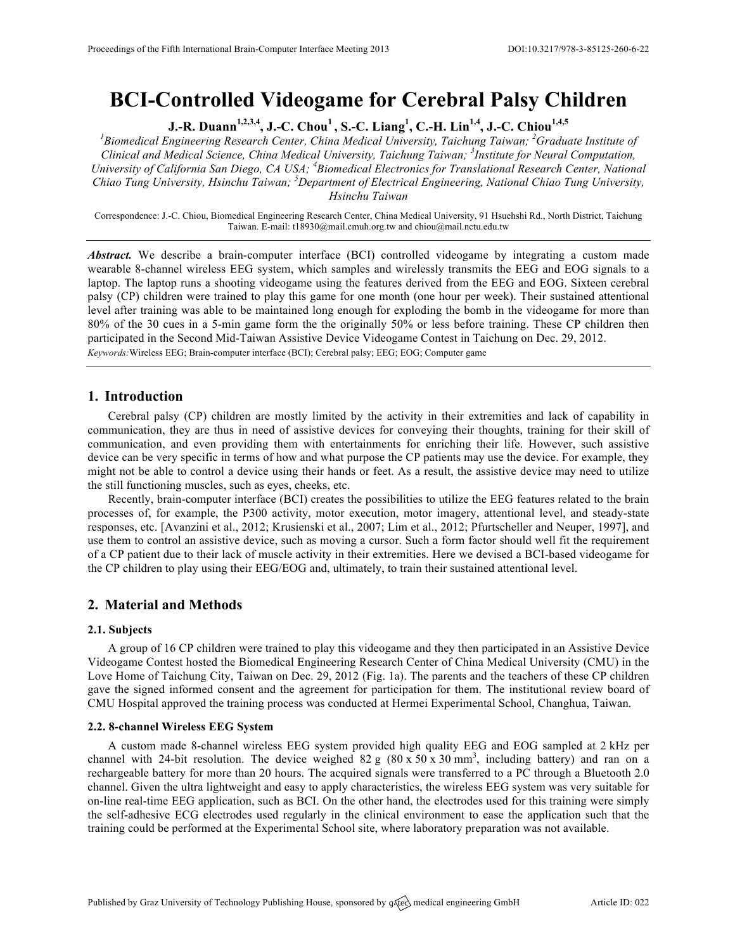# **BCI-Controlled Videogame for Cerebral Palsy Children**

**J.-R. Duann1,2,3,4, J.-C. Chou1 , S.-C. Liang<sup>1</sup> , C.-H. Lin1,4, J.-C. Chiou1,4,5**

<sup>1</sup>Biomedical Engineering Research Center, China Medical University, Taichung Taiwan; <sup>2</sup>Graduate Institute of *Clinical and Medical Science, China Medical University, Taichung Taiwan; <sup>3</sup> Institute for Neural Computation, University of California San Diego, CA USA; <sup>4</sup> Biomedical Electronics for Translational Research Center, National Chiao Tung University, Hsinchu Taiwan; <sup>5</sup> Department of Electrical Engineering, National Chiao Tung University, Hsinchu Taiwan*

Correspondence: J.-C. Chiou, Biomedical Engineering Research Center, China Medical University, 91 Hsuehshi Rd., North District, Taichung Taiwan. E-mail: t18930@mail.cmuh.org.tw and chiou@mail.nctu.edu.tw

Abstract. We describe a brain-computer interface (BCI) controlled videogame by integrating a custom made wearable 8-channel wireless EEG system, which samples and wirelessly transmits the EEG and EOG signals to a laptop. The laptop runs a shooting videogame using the features derived from the EEG and EOG. Sixteen cerebral palsy (CP) children were trained to play this game for one month (one hour per week). Their sustained attentional level after training was able to be maintained long enough for exploding the bomb in the videogame for more than 80% of the 30 cues in a 5-min game form the the originally 50% or less before training. These CP children then participated in the Second Mid-Taiwan Assistive Device Videogame Contest in Taichung on Dec. 29, 2012. *Keywords:*Wireless EEG; Brain-computer interface (BCI); Cerebral palsy; EEG; EOG; Computer game

# **1. Introduction**

Cerebral palsy (CP) children are mostly limited by the activity in their extremities and lack of capability in communication, they are thus in need of assistive devices for conveying their thoughts, training for their skill of communication, and even providing them with entertainments for enriching their life. However, such assistive device can be very specific in terms of how and what purpose the CP patients may use the device. For example, they might not be able to control a device using their hands or feet. As a result, the assistive device may need to utilize the still functioning muscles, such as eyes, cheeks, etc.

Recently, brain-computer interface (BCI) creates the possibilities to utilize the EEG features related to the brain processes of, for example, the P300 activity, motor execution, motor imagery, attentional level, and steady-state responses, etc. [Avanzini et al., 2012; Krusienski et al., 2007; Lim et al., 2012; Pfurtscheller and Neuper, 1997], and use them to control an assistive device, such as moving a cursor. Such a form factor should well fit the requirement of a CP patient due to their lack of muscle activity in their extremities. Here we devised a BCI-based videogame for the CP children to play using their EEG/EOG and, ultimately, to train their sustained attentional level.

# **2. Material and Methods**

## **2.1. Subjects**

A group of 16 CP children were trained to play this videogame and they then participated in an Assistive Device Videogame Contest hosted the Biomedical Engineering Research Center of China Medical University (CMU) in the Love Home of Taichung City, Taiwan on Dec. 29, 2012 (Fig. 1a). The parents and the teachers of these CP children gave the signed informed consent and the agreement for participation for them. The institutional review board of CMU Hospital approved the training process was conducted at Hermei Experimental School, Changhua, Taiwan.

## **2.2. 8-channel Wireless EEG System**

A custom made 8-channel wireless EEG system provided high quality EEG and EOG sampled at 2 kHz per channel with 24-bit resolution. The device weighed  $82 g (80 x 50 x 30 mm^3)$ , including battery) and ran on a rechargeable battery for more than 20 hours. The acquired signals were transferred to a PC through a Bluetooth 2.0 channel. Given the ultra lightweight and easy to apply characteristics, the wireless EEG system was very suitable for on-line real-time EEG application, such as BCI. On the other hand, the electrodes used for this training were simply the self-adhesive ECG electrodes used regularly in the clinical environment to ease the application such that the training could be performed at the Experimental School site, where laboratory preparation was not available.